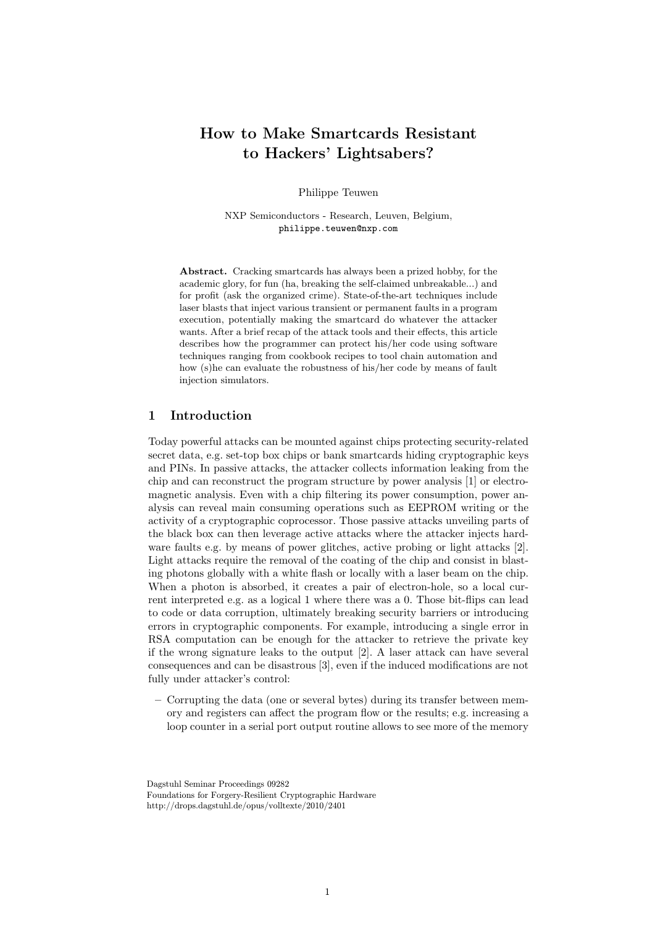# How to Make Smartcards Resistant to Hackers' Lightsabers?

Philippe Teuwen

NXP Semiconductors - Research, Leuven, Belgium, philippe.teuwen@nxp.com

Abstract. Cracking smartcards has always been a prized hobby, for the academic glory, for fun (ha, breaking the self-claimed unbreakable...) and for profit (ask the organized crime). State-of-the-art techniques include laser blasts that inject various transient or permanent faults in a program execution, potentially making the smartcard do whatever the attacker wants. After a brief recap of the attack tools and their effects, this article describes how the programmer can protect his/her code using software techniques ranging from cookbook recipes to tool chain automation and how (s)he can evaluate the robustness of his/her code by means of fault injection simulators.

## 1 Introduction

Today powerful attacks can be mounted against chips protecting security-related secret data, e.g. set-top box chips or bank smartcards hiding cryptographic keys and PINs. In passive attacks, the attacker collects information leaking from the chip and can reconstruct the program structure by power analysis [1] or electromagnetic analysis. Even with a chip filtering its power consumption, power analysis can reveal main consuming operations such as EEPROM writing or the activity of a cryptographic coprocessor. Those passive attacks unveiling parts of the black box can then leverage active attacks where the attacker injects hardware faults e.g. by means of power glitches, active probing or light attacks [2]. Light attacks require the removal of the coating of the chip and consist in blasting photons globally with a white flash or locally with a laser beam on the chip. When a photon is absorbed, it creates a pair of electron-hole, so a local current interpreted e.g. as a logical 1 where there was a 0. Those bit-flips can lead to code or data corruption, ultimately breaking security barriers or introducing errors in cryptographic components. For example, introducing a single error in RSA computation can be enough for the attacker to retrieve the private key if the wrong signature leaks to the output [2]. A laser attack can have several consequences and can be disastrous [3], even if the induced modifications are not fully under attacker's control:

– Corrupting the data (one or several bytes) during its transfer between memory and registers can affect the program flow or the results; e.g. increasing a loop counter in a serial port output routine allows to see more of the memory

Dagstuhl Seminar Proceedings 09282 Foundations for Forgery-Resilient Cryptographic Hardware http://drops.dagstuhl.de/opus/volltexte/2010/2401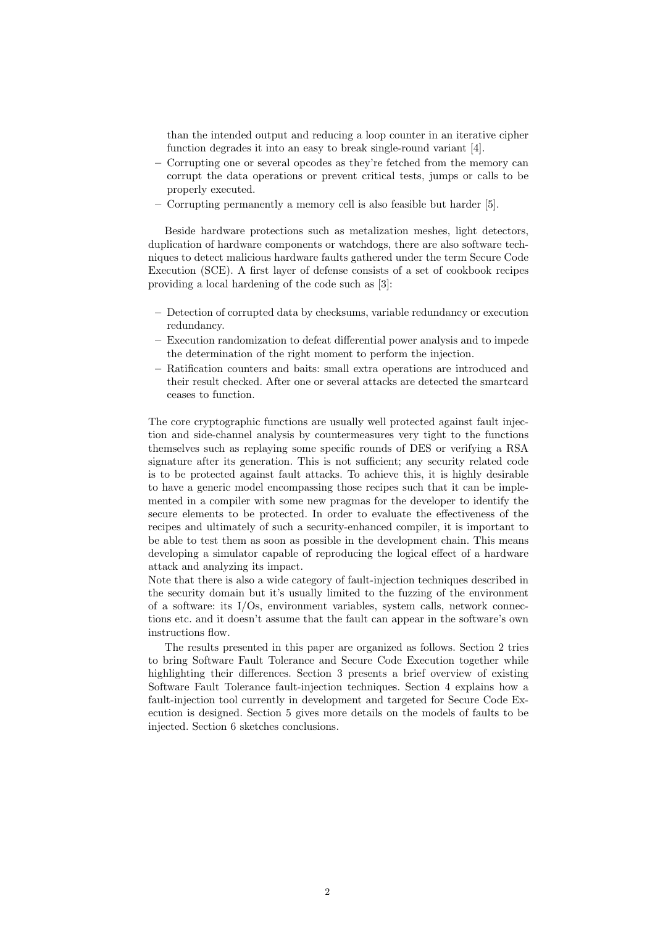than the intended output and reducing a loop counter in an iterative cipher function degrades it into an easy to break single-round variant [4].

- Corrupting one or several opcodes as they're fetched from the memory can corrupt the data operations or prevent critical tests, jumps or calls to be properly executed.
- Corrupting permanently a memory cell is also feasible but harder [5].

Beside hardware protections such as metalization meshes, light detectors, duplication of hardware components or watchdogs, there are also software techniques to detect malicious hardware faults gathered under the term Secure Code Execution (SCE). A first layer of defense consists of a set of cookbook recipes providing a local hardening of the code such as [3]:

- Detection of corrupted data by checksums, variable redundancy or execution redundancy.
- Execution randomization to defeat differential power analysis and to impede the determination of the right moment to perform the injection.
- Ratification counters and baits: small extra operations are introduced and their result checked. After one or several attacks are detected the smartcard ceases to function.

The core cryptographic functions are usually well protected against fault injection and side-channel analysis by countermeasures very tight to the functions themselves such as replaying some specific rounds of DES or verifying a RSA signature after its generation. This is not sufficient; any security related code is to be protected against fault attacks. To achieve this, it is highly desirable to have a generic model encompassing those recipes such that it can be implemented in a compiler with some new pragmas for the developer to identify the secure elements to be protected. In order to evaluate the effectiveness of the recipes and ultimately of such a security-enhanced compiler, it is important to be able to test them as soon as possible in the development chain. This means developing a simulator capable of reproducing the logical effect of a hardware attack and analyzing its impact.

Note that there is also a wide category of fault-injection techniques described in the security domain but it's usually limited to the fuzzing of the environment of a software: its I/Os, environment variables, system calls, network connections etc. and it doesn't assume that the fault can appear in the software's own instructions flow.

The results presented in this paper are organized as follows. Section 2 tries to bring Software Fault Tolerance and Secure Code Execution together while highlighting their differences. Section 3 presents a brief overview of existing Software Fault Tolerance fault-injection techniques. Section 4 explains how a fault-injection tool currently in development and targeted for Secure Code Execution is designed. Section 5 gives more details on the models of faults to be injected. Section 6 sketches conclusions.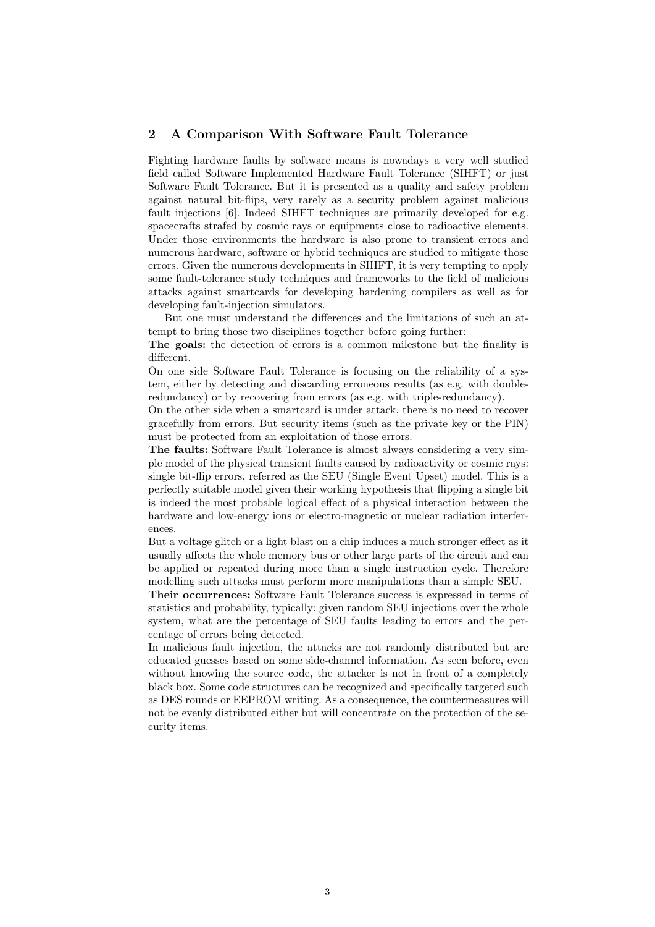## 2 A Comparison With Software Fault Tolerance

Fighting hardware faults by software means is nowadays a very well studied field called Software Implemented Hardware Fault Tolerance (SIHFT) or just Software Fault Tolerance. But it is presented as a quality and safety problem against natural bit-flips, very rarely as a security problem against malicious fault injections [6]. Indeed SIHFT techniques are primarily developed for e.g. spacecrafts strafed by cosmic rays or equipments close to radioactive elements. Under those environments the hardware is also prone to transient errors and numerous hardware, software or hybrid techniques are studied to mitigate those errors. Given the numerous developments in SIHFT, it is very tempting to apply some fault-tolerance study techniques and frameworks to the field of malicious attacks against smartcards for developing hardening compilers as well as for developing fault-injection simulators.

But one must understand the differences and the limitations of such an attempt to bring those two disciplines together before going further:

The goals: the detection of errors is a common milestone but the finality is different.

On one side Software Fault Tolerance is focusing on the reliability of a system, either by detecting and discarding erroneous results (as e.g. with doubleredundancy) or by recovering from errors (as e.g. with triple-redundancy).

On the other side when a smartcard is under attack, there is no need to recover gracefully from errors. But security items (such as the private key or the PIN) must be protected from an exploitation of those errors.

The faults: Software Fault Tolerance is almost always considering a very simple model of the physical transient faults caused by radioactivity or cosmic rays: single bit-flip errors, referred as the SEU (Single Event Upset) model. This is a perfectly suitable model given their working hypothesis that flipping a single bit is indeed the most probable logical effect of a physical interaction between the hardware and low-energy ions or electro-magnetic or nuclear radiation interferences.

But a voltage glitch or a light blast on a chip induces a much stronger effect as it usually affects the whole memory bus or other large parts of the circuit and can be applied or repeated during more than a single instruction cycle. Therefore modelling such attacks must perform more manipulations than a simple SEU.

Their occurrences: Software Fault Tolerance success is expressed in terms of statistics and probability, typically: given random SEU injections over the whole system, what are the percentage of SEU faults leading to errors and the percentage of errors being detected.

In malicious fault injection, the attacks are not randomly distributed but are educated guesses based on some side-channel information. As seen before, even without knowing the source code, the attacker is not in front of a completely black box. Some code structures can be recognized and specifically targeted such as DES rounds or EEPROM writing. As a consequence, the countermeasures will not be evenly distributed either but will concentrate on the protection of the security items.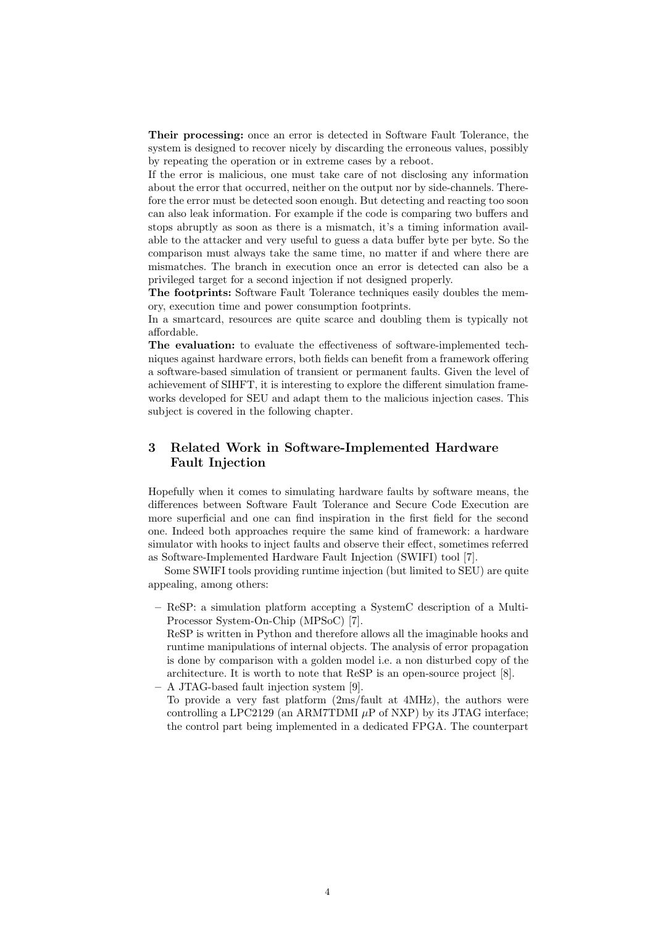Their processing: once an error is detected in Software Fault Tolerance, the system is designed to recover nicely by discarding the erroneous values, possibly by repeating the operation or in extreme cases by a reboot.

If the error is malicious, one must take care of not disclosing any information about the error that occurred, neither on the output nor by side-channels. Therefore the error must be detected soon enough. But detecting and reacting too soon can also leak information. For example if the code is comparing two buffers and stops abruptly as soon as there is a mismatch, it's a timing information available to the attacker and very useful to guess a data buffer byte per byte. So the comparison must always take the same time, no matter if and where there are mismatches. The branch in execution once an error is detected can also be a privileged target for a second injection if not designed properly.

The footprints: Software Fault Tolerance techniques easily doubles the memory, execution time and power consumption footprints.

In a smartcard, resources are quite scarce and doubling them is typically not affordable.

The evaluation: to evaluate the effectiveness of software-implemented techniques against hardware errors, both fields can benefit from a framework offering a software-based simulation of transient or permanent faults. Given the level of achievement of SIHFT, it is interesting to explore the different simulation frameworks developed for SEU and adapt them to the malicious injection cases. This subject is covered in the following chapter.

# 3 Related Work in Software-Implemented Hardware Fault Injection

Hopefully when it comes to simulating hardware faults by software means, the differences between Software Fault Tolerance and Secure Code Execution are more superficial and one can find inspiration in the first field for the second one. Indeed both approaches require the same kind of framework: a hardware simulator with hooks to inject faults and observe their effect, sometimes referred as Software-Implemented Hardware Fault Injection (SWIFI) tool [7].

Some SWIFI tools providing runtime injection (but limited to SEU) are quite appealing, among others:

- ReSP: a simulation platform accepting a SystemC description of a Multi-Processor System-On-Chip (MPSoC) [7].
- ReSP is written in Python and therefore allows all the imaginable hooks and runtime manipulations of internal objects. The analysis of error propagation is done by comparison with a golden model i.e. a non disturbed copy of the architecture. It is worth to note that ReSP is an open-source project [8].
- A JTAG-based fault injection system [9]. To provide a very fast platform (2ms/fault at 4MHz), the authors were controlling a LPC2129 (an ARM7TDMI  $\mu$ P of NXP) by its JTAG interface; the control part being implemented in a dedicated FPGA. The counterpart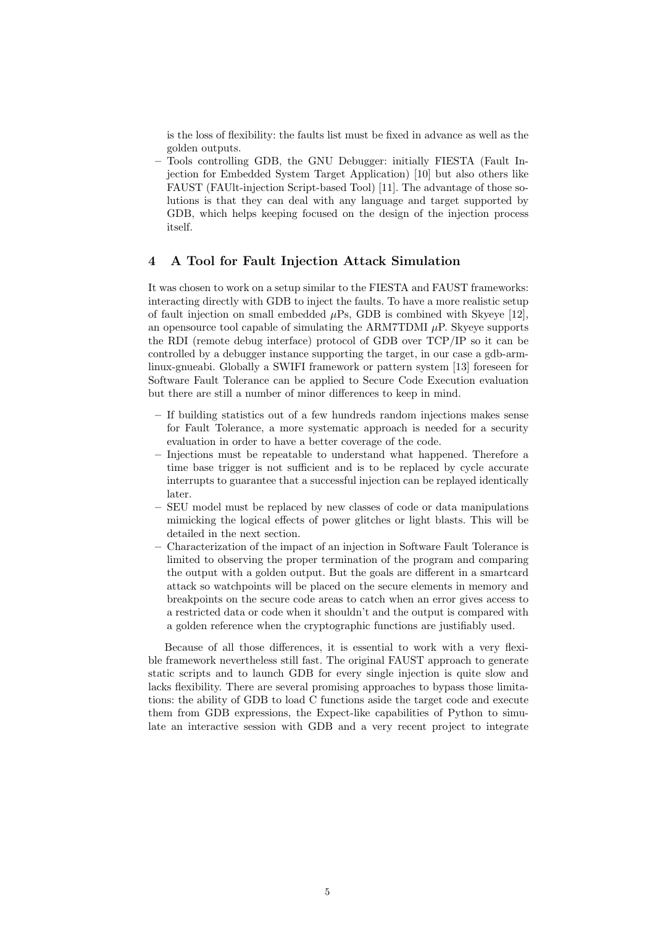is the loss of flexibility: the faults list must be fixed in advance as well as the golden outputs.

– Tools controlling GDB, the GNU Debugger: initially FIESTA (Fault Injection for Embedded System Target Application) [10] but also others like FAUST (FAUlt-injection Script-based Tool) [11]. The advantage of those solutions is that they can deal with any language and target supported by GDB, which helps keeping focused on the design of the injection process itself.

#### 4 A Tool for Fault Injection Attack Simulation

It was chosen to work on a setup similar to the FIESTA and FAUST frameworks: interacting directly with GDB to inject the faults. To have a more realistic setup of fault injection on small embedded  $\mu$ Ps, GDB is combined with Skyeye [12], an opensource tool capable of simulating the ARM7TDMI  $\mu$ P. Skyeye supports the RDI (remote debug interface) protocol of GDB over TCP/IP so it can be controlled by a debugger instance supporting the target, in our case a gdb-armlinux-gnueabi. Globally a SWIFI framework or pattern system [13] foreseen for Software Fault Tolerance can be applied to Secure Code Execution evaluation but there are still a number of minor differences to keep in mind.

- If building statistics out of a few hundreds random injections makes sense for Fault Tolerance, a more systematic approach is needed for a security evaluation in order to have a better coverage of the code.
- Injections must be repeatable to understand what happened. Therefore a time base trigger is not sufficient and is to be replaced by cycle accurate interrupts to guarantee that a successful injection can be replayed identically later.
- SEU model must be replaced by new classes of code or data manipulations mimicking the logical effects of power glitches or light blasts. This will be detailed in the next section.
- Characterization of the impact of an injection in Software Fault Tolerance is limited to observing the proper termination of the program and comparing the output with a golden output. But the goals are different in a smartcard attack so watchpoints will be placed on the secure elements in memory and breakpoints on the secure code areas to catch when an error gives access to a restricted data or code when it shouldn't and the output is compared with a golden reference when the cryptographic functions are justifiably used.

Because of all those differences, it is essential to work with a very flexible framework nevertheless still fast. The original FAUST approach to generate static scripts and to launch GDB for every single injection is quite slow and lacks flexibility. There are several promising approaches to bypass those limitations: the ability of GDB to load C functions aside the target code and execute them from GDB expressions, the Expect-like capabilities of Python to simulate an interactive session with GDB and a very recent project to integrate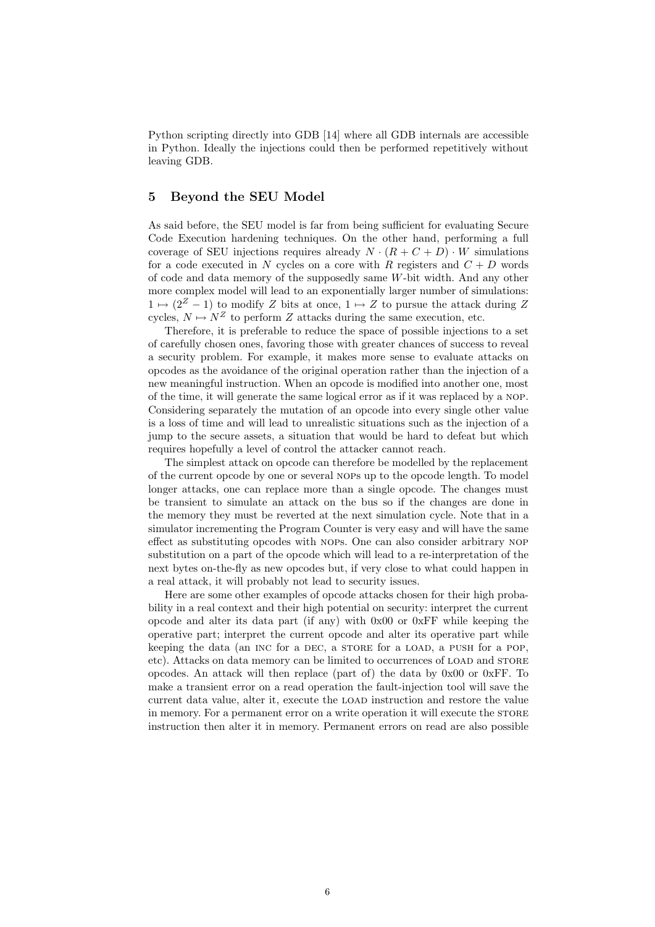Python scripting directly into GDB [14] where all GDB internals are accessible in Python. Ideally the injections could then be performed repetitively without leaving GDB.

## 5 Beyond the SEU Model

As said before, the SEU model is far from being sufficient for evaluating Secure Code Execution hardening techniques. On the other hand, performing a full coverage of SEU injections requires already  $N \cdot (R + C + D) \cdot W$  simulations for a code executed in N cycles on a core with R registers and  $C + D$  words of code and data memory of the supposedly same W-bit width. And any other more complex model will lead to an exponentially larger number of simulations:  $1 \mapsto (2^Z - 1)$  to modify Z bits at once,  $1 \mapsto Z$  to pursue the attack during Z cycles,  $N \mapsto N^Z$  to perform Z attacks during the same execution, etc.

Therefore, it is preferable to reduce the space of possible injections to a set of carefully chosen ones, favoring those with greater chances of success to reveal a security problem. For example, it makes more sense to evaluate attacks on opcodes as the avoidance of the original operation rather than the injection of a new meaningful instruction. When an opcode is modified into another one, most of the time, it will generate the same logical error as if it was replaced by a nop. Considering separately the mutation of an opcode into every single other value is a loss of time and will lead to unrealistic situations such as the injection of a jump to the secure assets, a situation that would be hard to defeat but which requires hopefully a level of control the attacker cannot reach.

The simplest attack on opcode can therefore be modelled by the replacement of the current opcode by one or several nops up to the opcode length. To model longer attacks, one can replace more than a single opcode. The changes must be transient to simulate an attack on the bus so if the changes are done in the memory they must be reverted at the next simulation cycle. Note that in a simulator incrementing the Program Counter is very easy and will have the same effect as substituting opcodes with nops. One can also consider arbitrary nop substitution on a part of the opcode which will lead to a re-interpretation of the next bytes on-the-fly as new opcodes but, if very close to what could happen in a real attack, it will probably not lead to security issues.

Here are some other examples of opcode attacks chosen for their high probability in a real context and their high potential on security: interpret the current opcode and alter its data part (if any) with  $0x00$  or  $0xFF$  while keeping the operative part; interpret the current opcode and alter its operative part while keeping the data (an INC for a DEC, a STORE for a LOAD, a PUSH for a POP, etc). Attacks on data memory can be limited to occurrences of load and store opcodes. An attack will then replace (part of) the data by 0x00 or 0xFF. To make a transient error on a read operation the fault-injection tool will save the current data value, alter it, execute the load instruction and restore the value in memory. For a permanent error on a write operation it will execute the store instruction then alter it in memory. Permanent errors on read are also possible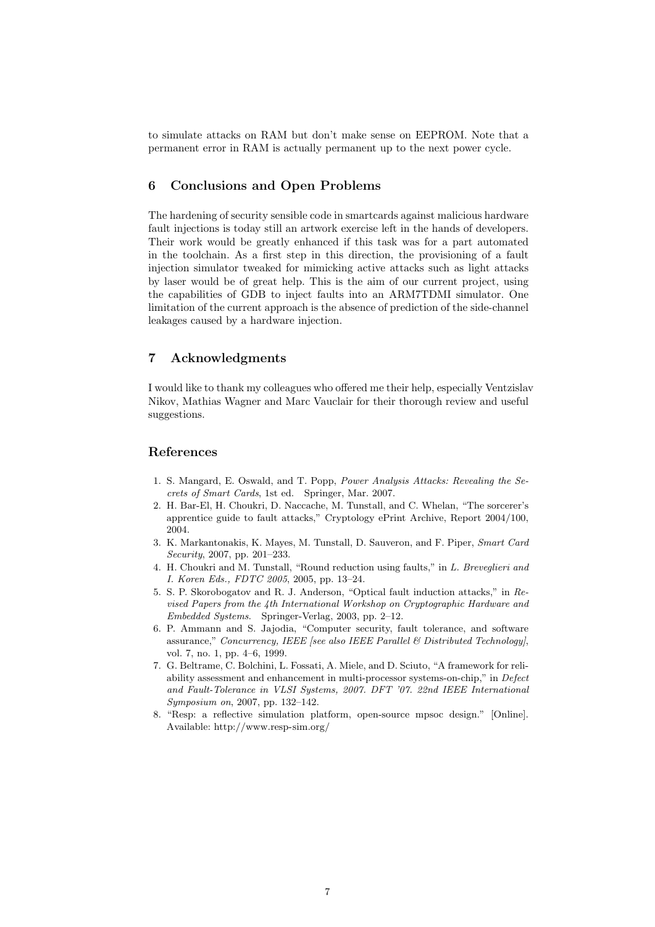to simulate attacks on RAM but don't make sense on EEPROM. Note that a permanent error in RAM is actually permanent up to the next power cycle.

# 6 Conclusions and Open Problems

The hardening of security sensible code in smartcards against malicious hardware fault injections is today still an artwork exercise left in the hands of developers. Their work would be greatly enhanced if this task was for a part automated in the toolchain. As a first step in this direction, the provisioning of a fault injection simulator tweaked for mimicking active attacks such as light attacks by laser would be of great help. This is the aim of our current project, using the capabilities of GDB to inject faults into an ARM7TDMI simulator. One limitation of the current approach is the absence of prediction of the side-channel leakages caused by a hardware injection.

### 7 Acknowledgments

I would like to thank my colleagues who offered me their help, especially Ventzislav Nikov, Mathias Wagner and Marc Vauclair for their thorough review and useful suggestions.

## References

- 1. S. Mangard, E. Oswald, and T. Popp, Power Analysis Attacks: Revealing the Secrets of Smart Cards, 1st ed. Springer, Mar. 2007.
- 2. H. Bar-El, H. Choukri, D. Naccache, M. Tunstall, and C. Whelan, "The sorcerer's apprentice guide to fault attacks," Cryptology ePrint Archive, Report 2004/100, 2004.
- 3. K. Markantonakis, K. Mayes, M. Tunstall, D. Sauveron, and F. Piper, Smart Card Security, 2007, pp. 201–233.
- 4. H. Choukri and M. Tunstall, "Round reduction using faults," in L. Breveglieri and I. Koren Eds., FDTC 2005, 2005, pp. 13–24.
- 5. S. P. Skorobogatov and R. J. Anderson, "Optical fault induction attacks," in Revised Papers from the 4th International Workshop on Cryptographic Hardware and Embedded Systems. Springer-Verlag, 2003, pp. 2–12.
- 6. P. Ammann and S. Jajodia, "Computer security, fault tolerance, and software assurance," Concurrency, IEEE [see also IEEE Parallel  $\mathcal B$  Distributed Technology], vol. 7, no. 1, pp. 4–6, 1999.
- 7. G. Beltrame, C. Bolchini, L. Fossati, A. Miele, and D. Sciuto, "A framework for reliability assessment and enhancement in multi-processor systems-on-chip," in Defect and Fault-Tolerance in VLSI Systems, 2007. DFT '07. 22nd IEEE International Symposium on, 2007, pp. 132–142.
- 8. "Resp: a reflective simulation platform, open-source mpsoc design." [Online]. Available: http://www.resp-sim.org/